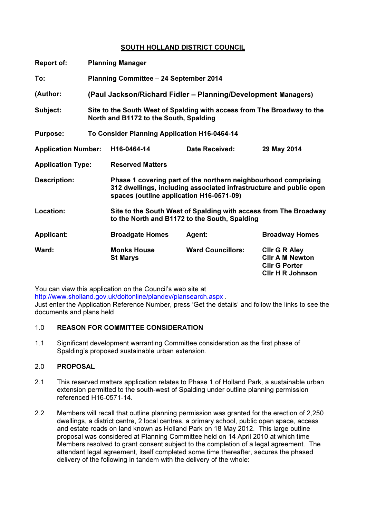# SOUTH HOLLAND DISTRICT COUNCIL

| <b>Report of:</b>          | <b>Planning Manager</b>                                                                                           |                                                                                                                                                                                  |                          |                                                                                                   |  |
|----------------------------|-------------------------------------------------------------------------------------------------------------------|----------------------------------------------------------------------------------------------------------------------------------------------------------------------------------|--------------------------|---------------------------------------------------------------------------------------------------|--|
| To:                        | <b>Planning Committee - 24 September 2014</b>                                                                     |                                                                                                                                                                                  |                          |                                                                                                   |  |
| (Author:                   | (Paul Jackson/Richard Fidler - Planning/Development Managers)                                                     |                                                                                                                                                                                  |                          |                                                                                                   |  |
| Subject:                   | Site to the South West of Spalding with access from The Broadway to the<br>North and B1172 to the South, Spalding |                                                                                                                                                                                  |                          |                                                                                                   |  |
| <b>Purpose:</b>            | To Consider Planning Application H16-0464-14                                                                      |                                                                                                                                                                                  |                          |                                                                                                   |  |
| <b>Application Number:</b> |                                                                                                                   | H16-0464-14                                                                                                                                                                      | <b>Date Received:</b>    | 29 May 2014                                                                                       |  |
| <b>Application Type:</b>   |                                                                                                                   | <b>Reserved Matters</b>                                                                                                                                                          |                          |                                                                                                   |  |
| <b>Description:</b>        |                                                                                                                   | Phase 1 covering part of the northern neighbourhood comprising<br>312 dwellings, including associated infrastructure and public open<br>spaces (outline application H16-0571-09) |                          |                                                                                                   |  |
| Location:                  |                                                                                                                   | Site to the South West of Spalding with access from The Broadway<br>to the North and B1172 to the South, Spalding                                                                |                          |                                                                                                   |  |
| <b>Applicant:</b>          |                                                                                                                   | <b>Broadgate Homes</b>                                                                                                                                                           | Agent:                   | <b>Broadway Homes</b>                                                                             |  |
| Ward:                      |                                                                                                                   | <b>Monks House</b><br><b>St Marys</b>                                                                                                                                            | <b>Ward Councillors:</b> | <b>CIIr G R Aley</b><br><b>CIIr A M Newton</b><br><b>CIIr G Porter</b><br><b>CIIr H R Johnson</b> |  |

You can view this application on the Council's web site at

http://www.sholland.gov.uk/doitonline/plandev/plansearch.aspx .

Just enter the Application Reference Number, press 'Get the details' and follow the links to see the documents and plans held

## 1.0 REASON FOR COMMITTEE CONSIDERATION

1.1 Significant development warranting Committee consideration as the first phase of Spalding's proposed sustainable urban extension.

# 2.0 PROPOSAL

- 2.1 This reserved matters application relates to Phase 1 of Holland Park, a sustainable urban extension permitted to the south-west of Spalding under outline planning permission referenced H16-0571-14.
- 2.2 Members will recall that outline planning permission was granted for the erection of 2,250 dwellings, a district centre, 2 local centres, a primary school, public open space, access and estate roads on land known as Holland Park on 18 May 2012. This large outline proposal was considered at Planning Committee held on 14 April 2010 at which time Members resolved to grant consent subject to the completion of a legal agreement. The attendant legal agreement, itself completed some time thereafter, secures the phased delivery of the following in tandem with the delivery of the whole: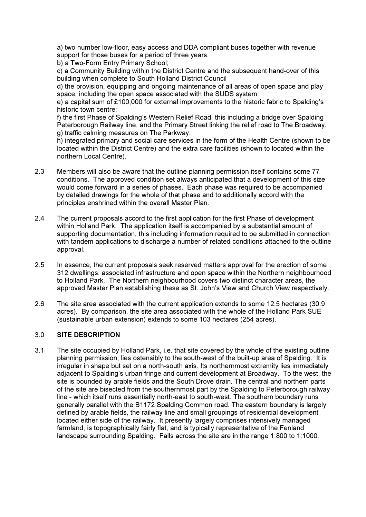a) two number low-floor, easy access and DDA compliant buses together with revenue support for those buses for a period of three years.

b) a Two-Form Entry Primary School;

c) a Community Building within the District Centre and the subsequent hand-over of this building when complete to South Holland District Council

d) the provision, equipping and ongoing maintenance of all areas of open space and play space, including the open space associated with the SUDS system;

e) a capital sum of £100,000 for external improvements to the historic fabric to Spalding's historic town centre;

f) the first Phase of Spalding's Western Relief Road, this including a bridge over Spalding Peterborough Railway line, and the Primary Street linking the relief road to The Broadway.

g) traffic calming measures on The Parkway.

h) integrated primary and social care services in the form of the Health Centre (shown to be located within the District Centre) and the extra care facilities (shown to located within the northern Local Centre).

- 2.3 Members will also be aware that the outline planning permission itself contains some 77 conditions. The approved condition set always anticipated that a development of this size would come forward in a series of phases. Each phase was required to be accompanied by detailed drawings for the whole of that phase and to additionally accord with the principles enshrined within the overall Master Plan.
- 2.4 The current proposals accord to the first application for the first Phase of development within Holland Park. The application itself is accompanied by a substantial amount of supporting documentation, this including information required to be submitted in connection with tandem applications to discharge a number of related conditions attached to the outline approval.
- 2.5 In essence, the current proposals seek reserved matters approval for the erection of some 312 dwellings, associated infrastructure and open space within the Northern neighbourhood to Holland Park. The Northern neighbourhood covers two distinct character areas, the approved Master Plan establishing these as St. John's View and Church View respectively.
- 2.6 The site area associated with the current application extends to some 12.5 hectares (30.9 acres). By comparison, the site area associated with the whole of the Holland Park SUE (sustainable urban extension) extends to some 103 hectares (254 acres).

# 3.0 SITE DESCRIPTION

3.1 The site occupied by Holland Park, i.e. that site covered by the whole of the existing outline planning permission, lies ostensibly to the south-west of the built-up area of Spalding. It is irregular in shape but set on a north-south axis. Its northernmost extremity lies immediately adjacent to Spalding's urban fringe and current development at Broadway. To the west, the site is bounded by arable fields and the South Drove drain. The central and northern parts of the site are bisected from the southernmost part by the Spalding to Peterborough railway line - which itself runs essentially north-east to south-west. The southern boundary runs generally parallel with the B1172 Spalding Common road. The eastern boundary is largely defined by arable fields, the railway line and small groupings of residential development located either side of the railway. It presently largely comprises intensively managed farmland, is topographically fairly flat, and is typically representative of the Fenland landscape surrounding Spalding. Falls across the site are in the range 1:800 to 1:1000.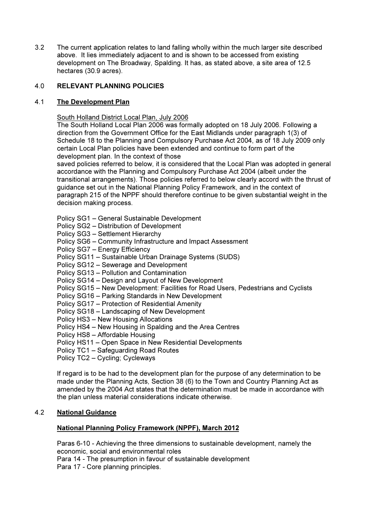3.2 The current application relates to land falling wholly within the much larger site described above. It lies immediately adjacent to and is shown to be accessed from existing development on The Broadway, Spalding. It has, as stated above, a site area of 12.5 hectares (30.9 acres).

# 4.0 RELEVANT PLANNING POLICIES

## 4.1 The Development Plan

South Holland District Local Plan, July 2006

The South Holland Local Plan 2006 was formally adopted on 18 July 2006. Following a direction from the Government Office for the East Midlands under paragraph 1(3) of Schedule 18 to the Planning and Compulsory Purchase Act 2004, as of 18 July 2009 only certain Local Plan policies have been extended and continue to form part of the development plan. In the context of those

saved policies referred to below, it is considered that the Local Plan was adopted in general accordance with the Planning and Compulsory Purchase Act 2004 (albeit under the transitional arrangements). Those policies referred to below clearly accord with the thrust of guidance set out in the National Planning Policy Framework, and in the context of paragraph 215 of the NPPF should therefore continue to be given substantial weight in the decision making process.

- Policy SG1 General Sustainable Development
- Policy SG2 Distribution of Development
- Policy SG3 Settlement Hierarchy
- Policy SG6 Community Infrastructure and Impact Assessment
- Policy SG7 Energy Efficiency
- Policy SG11 Sustainable Urban Drainage Systems (SUDS)
- Policy SG12 Sewerage and Development
- Policy SG13 Pollution and Contamination
- Policy SG14 Design and Layout of New Development
- Policy SG15 New Development: Facilities for Road Users, Pedestrians and Cyclists
- Policy SG16 Parking Standards in New Development
- Policy SG17 Protection of Residential Amenity
- Policy SG18 Landscaping of New Development
- Policy HS3 New Housing Allocations
- Policy HS4 New Housing in Spalding and the Area Centres
- Policy HS8 Affordable Housing
- Policy HS11 Open Space in New Residential Developments
- Policy TC1 Safeguarding Road Routes
- Policy TC2 Cycling; Cycleways

If regard is to be had to the development plan for the purpose of any determination to be made under the Planning Acts, Section 38 (6) to the Town and Country Planning Act as amended by the 2004 Act states that the determination must be made in accordance with the plan unless material considerations indicate otherwise.

## 4.2 National Guidance

## National Planning Policy Framework (NPPF), March 2012

Paras 6-10 - Achieving the three dimensions to sustainable development, namely the economic, social and environmental roles Para 14 - The presumption in favour of sustainable development

Para 17 - Core planning principles.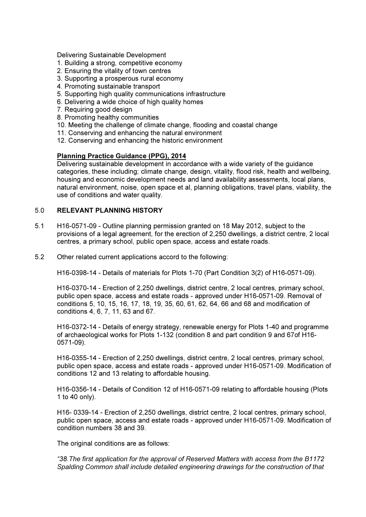Delivering Sustainable Development

- 1. Building a strong, competitive economy
- 2. Ensuring the vitality of town centres
- 3. Supporting a prosperous rural economy
- 4. Promoting sustainable transport
- 5. Supporting high quality communications infrastructure
- 6. Delivering a wide choice of high quality homes
- 7. Requiring good design
- 8. Promoting healthy communities
- 10. Meeting the challenge of climate change, flooding and coastal change
- 11. Conserving and enhancing the natural environment
- 12. Conserving and enhancing the historic environment

## Planning Practice Guidance (PPG), 2014

Delivering sustainable development in accordance with a wide variety of the guidance categories, these including; climate change, design, vitality, flood risk, health and wellbeing, housing and economic development needs and land availability assessments, local plans, natural environment, noise, open space et al, planning obligations, travel plans, viability, the use of conditions and water quality.

## 5.0 RELEVANT PLANNING HISTORY

- 5.1 H16-0571-09 Outline planning permission granted on 18 May 2012, subject to the provisions of a legal agreement, for the erection of 2,250 dwellings, a district centre, 2 local centres, a primary school, public open space, access and estate roads.
- 5.2 Other related current applications accord to the following:

H16-0398-14 - Details of materials for Plots 1-70 (Part Condition 3(2) of H16-0571-09).

 H16-0370-14 - Erection of 2,250 dwellings, district centre, 2 local centres, primary school, public open space, access and estate roads - approved under H16-0571-09. Removal of conditions 5, 10, 15, 16, 17, 18, 19, 35, 60, 61, 62, 64, 66 and 68 and modification of conditions 4, 6, 7, 11, 63 and 67.

 H16-0372-14 - Details of energy strategy, renewable energy for Plots 1-40 and programme of archaeological works for Plots 1-132 (condition 8 and part condition 9 and 67of H16- 0571-09).

 H16-0355-14 - Erection of 2,250 dwellings, district centre, 2 local centres, primary school, public open space, access and estate roads - approved under H16-0571-09. Modification of conditions 12 and 13 relating to affordable housing.

 H16-0356-14 - Details of Condition 12 of H16-0571-09 relating to affordable housing (Plots 1 to 40 only).

 H16- 0339-14 - Erection of 2,250 dwellings, district centre, 2 local centres, primary school, public open space, access and estate roads - approved under H16-0571-09. Modification of condition numbers 38 and 39.

The original conditions are as follows:

*"38.The first application for the approval of Reserved Matters with access from the B1172 Spalding Common shall include detailed engineering drawings for the construction of that*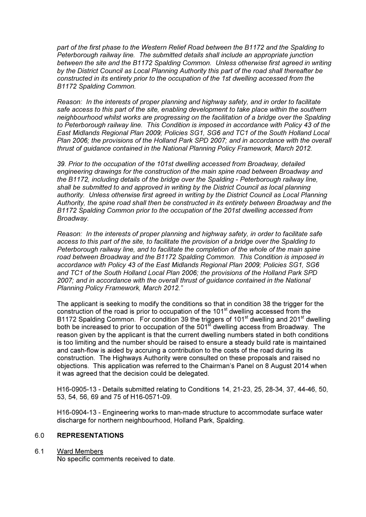*part of the first phase to the Western Relief Road between the B1172 and the Spalding to Peterborough railway line. The submitted details shall include an appropriate junction between the site and the B1172 Spalding Common. Unless otherwise first agreed in writing by the District Council as Local Planning Authority this part of the road shall thereafter be constructed in its entirety prior to the occupation of the 1st dwelling accessed from the B1172 Spalding Common.* 

*Reason: In the interests of proper planning and highway safety, and in order to facilitate safe access to this part of the site, enabling development to take place within the southern neighbourhood whilst works are progressing on the facilitation of a bridge over the Spalding to Peterborough railway line. This Condition is imposed in accordance with Policy 43 of the East Midlands Regional Plan 2009; Policies SG1, SG6 and TC1 of the South Holland Local Plan 2006; the provisions of the Holland Park SPD 2007; and in accordance with the overall thrust of guidance contained in the National Planning Policy Framework, March 2012.* 

*39. Prior to the occupation of the 101st dwelling accessed from Broadway, detailed engineering drawings for the construction of the main spine road between Broadway and the B1172, including details of the bridge over the Spalding - Peterborough railway line, shall be submitted to and approved in writing by the District Council as local planning authority. Unless otherwise first agreed in writing by the District Council as Local Planning Authority, the spine road shall then be constructed in its entirety between Broadway and the B1172 Spalding Common prior to the occupation of the 201st dwelling accessed from Broadway.* 

*Reason: In the interests of proper planning and highway safety, in order to facilitate safe access to this part of the site, to facilitate the provision of a bridge over the Spalding to Peterborough railway line, and to facilitate the completion of the whole of the main spine road between Broadway and the B1172 Spalding Common. This Condition is imposed in accordance with Policy 43 of the East Midlands Regional Plan 2009; Policies SG1, SG6 and TC1 of the South Holland Local Plan 2006; the provisions of the Holland Park SPD 2007; and in accordance with the overall thrust of guidance contained in the National Planning Policy Framework, March 2012."* 

The applicant is seeking to modify the conditions so that in condition 38 the trigger for the construction of the road is prior to occupation of the 101<sup>st</sup> dwelling accessed from the B1172 Spalding Common. For condition 39 the triggers of 101<sup>st</sup> dwelling and 201<sup>st</sup> dwelling both be increased to prior to occupation of the  $501<sup>st</sup>$  dwelling access from Broadway. The reason given by the applicant is that the current dwelling numbers stated in both conditions is too limiting and the number should be raised to ensure a steady build rate is maintained and cash-flow is aided by accruing a contribution to the costs of the road during its construction. The Highways Authority were consulted on these proposals and raised no objections. This application was referred to the Chairman's Panel on 8 August 2014 when it was agreed that the decision could be delegated.

 H16-0905-13 - Details submitted relating to Conditions 14, 21-23, 25, 28-34, 37, 44-46, 50, 53, 54, 56, 69 and 75 of H16-0571-09.

 H16-0904-13 - Engineering works to man-made structure to accommodate surface water discharge for northern neighbourhood, Holland Park, Spalding.

## 6.0 REPRESENTATIONS

### 6.1 Ward Members

No specific comments received to date.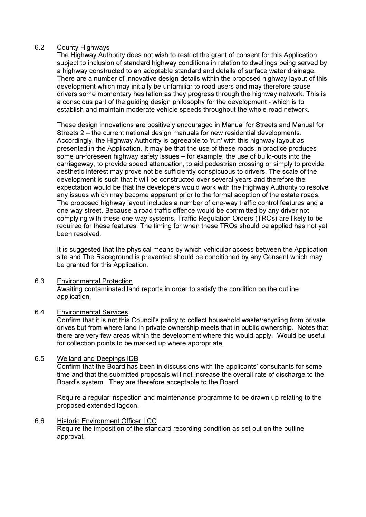## 6.2 County Highways

The Highway Authority does not wish to restrict the grant of consent for this Application subject to inclusion of standard highway conditions in relation to dwellings being served by a highway constructed to an adoptable standard and details of surface water drainage. There are a number of innovative design details within the proposed highway layout of this development which may initially be unfamiliar to road users and may therefore cause drivers some momentary hesitation as they progress through the highway network. This is a conscious part of the guiding design philosophy for the development - which is to establish and maintain moderate vehicle speeds throughout the whole road network.

These design innovations are positively encouraged in Manual for Streets and Manual for Streets 2 – the current national design manuals for new residential developments. Accordingly, the Highway Authority is agreeable to 'run' with this highway layout as presented in the Application. It may be that the use of these roads in practice produces some un-foreseen highway safety issues – for example, the use of build-outs into the carriageway, to provide speed attenuation, to aid pedestrian crossing or simply to provide aesthetic interest may prove not be sufficiently conspicuous to drivers. The scale of the development is such that it will be constructed over several years and therefore the expectation would be that the developers would work with the Highway Authority to resolve any issues which may become apparent prior to the formal adoption of the estate roads. The proposed highway layout includes a number of one-way traffic control features and a one-way street. Because a road traffic offence would be committed by any driver not complying with these one-way systems, Traffic Regulation Orders (TROs) are likely to be required for these features. The timing for when these TROs should be applied has not yet been resolved.

It is suggested that the physical means by which vehicular access between the Application site and The Raceground is prevented should be conditioned by any Consent which may be granted for this Application.

### 6.3 Environmental Protection

 Awaiting contaminated land reports in order to satisfy the condition on the outline application.

### 6.4 Environmental Services

 Confirm that it is not this Council's policy to collect household waste/recycling from private drives but from where land in private ownership meets that in public ownership. Notes that there are very few areas within the development where this would apply. Would be useful for collection points to be marked up where appropriate.

## 6.5 Welland and Deepings IDB

 Confirm that the Board has been in discussions with the applicants' consultants for some time and that the submitted proposals will not increase the overall rate of discharge to the Board's system. They are therefore acceptable to the Board.

 Require a regular inspection and maintenance programme to be drawn up relating to the proposed extended lagoon.

# 6.6 Historic Environment Officer LCC

 Require the imposition of the standard recording condition as set out on the outline approval.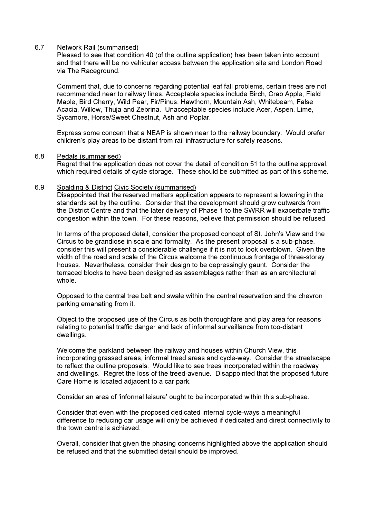### 6.7 Network Rail (summarised)

 Pleased to see that condition 40 (of the outline application) has been taken into account and that there will be no vehicular access between the application site and London Road via The Raceground.

 Comment that, due to concerns regarding potential leaf fall problems, certain trees are not recommended near to railway lines. Acceptable species include Birch, Crab Apple, Field Maple, Bird Cherry, Wild Pear, Fir/Pinus, Hawthorn, Mountain Ash, Whitebeam, False Acacia, Willow, Thuja and Zebrina. Unacceptable species include Acer, Aspen, Lime, Sycamore, Horse/Sweet Chestnut, Ash and Poplar.

 Express some concern that a NEAP is shown near to the railway boundary. Would prefer children's play areas to be distant from rail infrastructure for safety reasons.

### 6.8 Pedals (summarised)

 Regret that the application does not cover the detail of condition 51 to the outline approval, which required details of cycle storage. These should be submitted as part of this scheme.

### 6.9 Spalding & District Civic Society (summarised)

 Disappointed that the reserved matters application appears to represent a lowering in the standards set by the outline. Consider that the development should grow outwards from the District Centre and that the later delivery of Phase 1 to the SWRR will exacerbate traffic congestion within the town. For these reasons, believe that permission should be refused.

 In terms of the proposed detail, consider the proposed concept of St. John's View and the Circus to be grandiose in scale and formality. As the present proposal is a sub-phase, consider this will present a considerable challenge if it is not to look overblown. Given the width of the road and scale of the Circus welcome the continuous frontage of three-storey houses. Nevertheless, consider their design to be depressingly gaunt. Consider the terraced blocks to have been designed as assemblages rather than as an architectural whole.

 Opposed to the central tree belt and swale within the central reservation and the chevron parking emanating from it.

 Object to the proposed use of the Circus as both thoroughfare and play area for reasons relating to potential traffic danger and lack of informal surveillance from too-distant dwellings.

 Welcome the parkland between the railway and houses within Church View, this incorporating grassed areas, informal treed areas and cycle-way. Consider the streetscape to reflect the outline proposals. Would like to see trees incorporated within the roadway and dwellings. Regret the loss of the treed-avenue. Disappointed that the proposed future Care Home is located adjacent to a car park.

Consider an area of 'informal leisure' ought to be incorporated within this sub-phase.

 Consider that even with the proposed dedicated internal cycle-ways a meaningful difference to reducing car usage will only be achieved if dedicated and direct connectivity to the town centre is achieved.

 Overall, consider that given the phasing concerns highlighted above the application should be refused and that the submitted detail should be improved.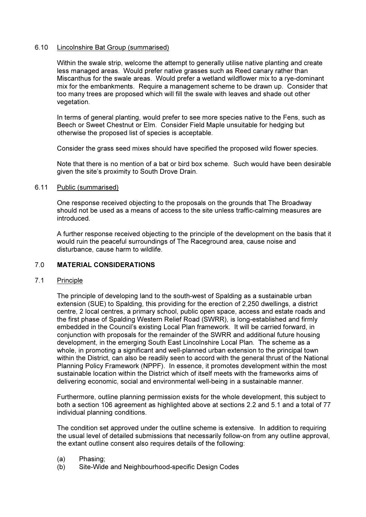### 6.10 Lincolnshire Bat Group (summarised)

 Within the swale strip, welcome the attempt to generally utilise native planting and create less managed areas. Would prefer native grasses such as Reed canary rather than Miscanthus for the swale areas. Would prefer a wetland wildflower mix to a rye-dominant mix for the embankments. Require a management scheme to be drawn up. Consider that too many trees are proposed which will fill the swale with leaves and shade out other vegetation.

 In terms of general planting, would prefer to see more species native to the Fens, such as Beech or Sweet Chestnut or Elm. Consider Field Maple unsuitable for hedging but otherwise the proposed list of species is acceptable.

Consider the grass seed mixes should have specified the proposed wild flower species.

 Note that there is no mention of a bat or bird box scheme. Such would have been desirable given the site's proximity to South Drove Drain.

## 6.11 Public (summarised)

 One response received objecting to the proposals on the grounds that The Broadway should not be used as a means of access to the site unless traffic-calming measures are introduced.

A further response received objecting to the principle of the development on the basis that it would ruin the peaceful surroundings of The Raceground area, cause noise and disturbance, cause harm to wildlife.

## 7.0 MATERIAL CONSIDERATIONS

## 7.1 Principle

 The principle of developing land to the south-west of Spalding as a sustainable urban extension (SUE) to Spalding, this providing for the erection of 2,250 dwellings, a district centre, 2 local centres, a primary school, public open space, access and estate roads and the first phase of Spalding Western Relief Road (SWRR), is long-established and firmly embedded in the Council's existing Local Plan framework. It will be carried forward, in conjunction with proposals for the remainder of the SWRR and additional future housing development, in the emerging South East Lincolnshire Local Plan. The scheme as a whole, in promoting a significant and well-planned urban extension to the principal town within the District, can also be readily seen to accord with the general thrust of the National Planning Policy Framework (NPPF). In essence, it promotes development within the most sustainable location within the District which of itself meets with the frameworks aims of delivering economic, social and environmental well-being in a sustainable manner.

 Furthermore, outline planning permission exists for the whole development, this subject to both a section 106 agreement as highlighted above at sections 2.2 and 5.1 and a total of 77 individual planning conditions.

 The condition set approved under the outline scheme is extensive. In addition to requiring the usual level of detailed submissions that necessarily follow-on from any outline approval, the extant outline consent also requires details of the following:

- (a) Phasing;
- (b) Site-Wide and Neighbourhood-specific Design Codes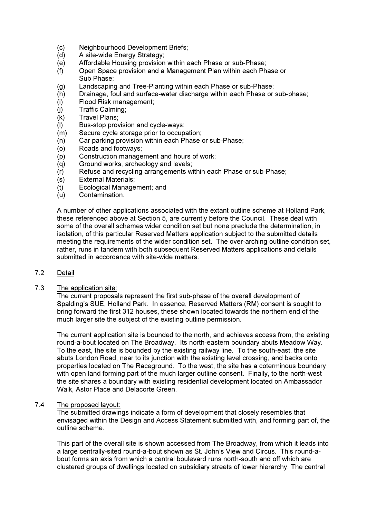- (c) Neighbourhood Development Briefs;
- (d) A site-wide Energy Strategy;
- (e) Affordable Housing provision within each Phase or sub-Phase;
- (f) Open Space provision and a Management Plan within each Phase or Sub Phase;
- (g) Landscaping and Tree-Planting within each Phase or sub-Phase;
- (h) Drainage, foul and surface-water discharge within each Phase or sub-phase;
- (i) Flood Risk management;
- (j) Traffic Calming;
- (k) Travel Plans;
- (l) Bus-stop provision and cycle-ways;
- (m) Secure cycle storage prior to occupation;
- (n) Car parking provision within each Phase or sub-Phase;
- (o) Roads and footways;
- (p) Construction management and hours of work;
- (q) Ground works, archeology and levels;
- (r) Refuse and recycling arrangements within each Phase or sub-Phase;
- (s) External Materials;
- (t) Ecological Management; and
- (u) Contamination.

 A number of other applications associated with the extant outline scheme at Holland Park, these referenced above at Section 5, are currently before the Council. These deal with some of the overall schemes wider condition set but none preclude the determination, in isolation, of this particular Reserved Matters application subject to the submitted details meeting the requirements of the wider condition set. The over-arching outline condition set, rather, runs in tandem with both subsequent Reserved Matters applications and details submitted in accordance with site-wide matters.

## 7.2 Detail

### 7.3 The application site:

 The current proposals represent the first sub-phase of the overall development of Spalding's SUE, Holland Park. In essence, Reserved Matters (RM) consent is sought to bring forward the first 312 houses, these shown located towards the northern end of the much larger site the subject of the existing outline permission.

 The current application site is bounded to the north, and achieves access from, the existing round-a-bout located on The Broadway. Its north-eastern boundary abuts Meadow Way. To the east, the site is bounded by the existing railway line. To the south-east, the site abuts London Road, near to its junction with the existing level crossing, and backs onto properties located on The Raceground. To the west, the site has a coterminous boundary with open land forming part of the much larger outline consent. Finally, to the north-west the site shares a boundary with existing residential development located on Ambassador Walk, Astor Place and Delacorte Green.

### 7.4 The proposed layout:

 The submitted drawings indicate a form of development that closely resembles that envisaged within the Design and Access Statement submitted with, and forming part of, the outline scheme.

 This part of the overall site is shown accessed from The Broadway, from which it leads into a large centrally-sited round-a-bout shown as St. John's View and Circus. This round-about forms an axis from which a central boulevard runs north-south and off which are clustered groups of dwellings located on subsidiary streets of lower hierarchy. The central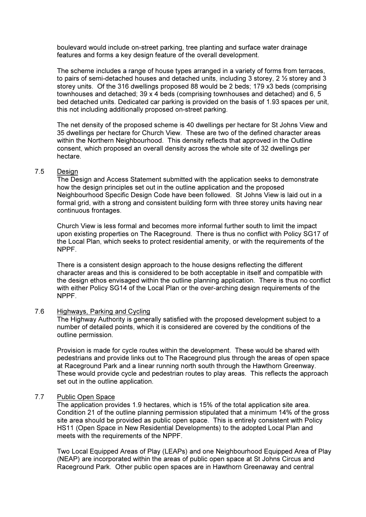boulevard would include on-street parking, tree planting and surface water drainage features and forms a key design feature of the overall development.

 The scheme includes a range of house types arranged in a variety of forms from terraces, to pairs of semi-detached houses and detached units, including 3 storey, 2 ½ storey and 3 storey units. Of the 316 dwellings proposed 88 would be 2 beds; 179 x3 beds (comprising townhouses and detached; 39 x 4 beds (comprising townhouses and detached) and 6, 5 bed detached units. Dedicated car parking is provided on the basis of 1.93 spaces per unit, this not including additionally proposed on-street parking.

 The net density of the proposed scheme is 40 dwellings per hectare for St Johns View and 35 dwellings per hectare for Church View. These are two of the defined character areas within the Northern Neighbourhood. This density reflects that approved in the Outline consent, which proposed an overall density across the whole site of 32 dwellings per hectare.

## 7.5 Design

The Design and Access Statement submitted with the application seeks to demonstrate how the design principles set out in the outline application and the proposed Neighbourhood Specific Design Code have been followed. St Johns View is laid out in a formal grid, with a strong and consistent building form with three storey units having near continuous frontages.

Church View is less formal and becomes more informal further south to limit the impact upon existing properties on The Raceground. There is thus no conflict with Policy SG17 of the Local Plan, which seeks to protect residential amenity, or with the requirements of the NPPF.

There is a consistent design approach to the house designs reflecting the different character areas and this is considered to be both acceptable in itself and compatible with the design ethos envisaged within the outline planning application. There is thus no conflict with either Policy SG14 of the Local Plan or the over-arching design requirements of the NPPF.

### 7.6 Highways, Parking and Cycling

The Highway Authority is generally satisfied with the proposed development subject to a number of detailed points, which it is considered are covered by the conditions of the outline permission.

Provision is made for cycle routes within the development. These would be shared with pedestrians and provide links out to The Raceground plus through the areas of open space at Raceground Park and a linear running north south through the Hawthorn Greenway. These would provide cycle and pedestrian routes to play areas. This reflects the approach set out in the outline application.

### 7.7 Public Open Space

The application provides 1.9 hectares, which is 15% of the total application site area. Condition 21 of the outline planning permission stipulated that a minimum 14% of the gross site area should be provided as public open space. This is entirely consistent with Policy HS11 (Open Space in New Residential Developments) to the adopted Local Plan and meets with the requirements of the NPPF.

Two Local Equipped Areas of Play (LEAPs) and one Neighbourhood Equipped Area of Play (NEAP) are incorporated within the areas of public open space at St Johns Circus and Raceground Park. Other public open spaces are in Hawthorn Greenaway and central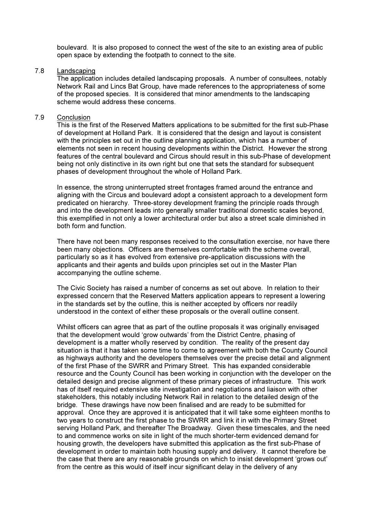boulevard. It is also proposed to connect the west of the site to an existing area of public open space by extending the footpath to connect to the site.

#### 7.8 Landscaping

The application includes detailed landscaping proposals. A number of consultees, notably Network Rail and Lincs Bat Group, have made references to the appropriateness of some of the proposed species. It is considered that minor amendments to the landscaping scheme would address these concerns.

### 7.9 Conclusion

This is the first of the Reserved Matters applications to be submitted for the first sub-Phase of development at Holland Park. It is considered that the design and layout is consistent with the principles set out in the outline planning application, which has a number of elements not seen in recent housing developments within the District. However the strong features of the central boulevard and Circus should result in this sub-Phase of development being not only distinctive in its own right but one that sets the standard for subsequent phases of development throughout the whole of Holland Park.

In essence, the strong uninterrupted street frontages framed around the entrance and aligning with the Circus and boulevard adopt a consistent approach to a development form predicated on hierarchy. Three-storey development framing the principle roads through and into the development leads into generally smaller traditional domestic scales beyond, this exemplified in not only a lower architectural order but also a street scale diminished in both form and function.

There have not been many responses received to the consultation exercise, nor have there been many objections. Officers are themselves comfortable with the scheme overall, particularly so as it has evolved from extensive pre-application discussions with the applicants and their agents and builds upon principles set out in the Master Plan accompanying the outline scheme.

The Civic Society has raised a number of concerns as set out above. In relation to their expressed concern that the Reserved Matters application appears to represent a lowering in the standards set by the outline, this is neither accepted by officers nor readily understood in the context of either these proposals or the overall outline consent.

Whilst officers can agree that as part of the outline proposals it was originally envisaged that the development would 'grow outwards' from the District Centre, phasing of development is a matter wholly reserved by condition. The reality of the present day situation is that it has taken some time to come to agreement with both the County Council as highways authority and the developers themselves over the precise detail and alignment of the first Phase of the SWRR and Primary Street. This has expanded considerable resource and the County Council has been working in conjunction with the developer on the detailed design and precise alignment of these primary pieces of infrastructure. This work has of itself required extensive site investigation and negotiations and liaison with other stakeholders, this notably including Network Rail in relation to the detailed design of the bridge. These drawings have now been finalised and are ready to be submitted for approval. Once they are approved it is anticipated that it will take some eighteen months to two years to construct the first phase to the SWRR and link it in with the Primary Street serving Holland Park, and thereafter The Broadway. Given these timescales, and the need to and commence works on site in light of the much shorter-term evidenced demand for housing growth, the developers have submitted this application as the first sub-Phase of development in order to maintain both housing supply and delivery. It cannot therefore be the case that there are any reasonable grounds on which to insist development 'grows out' from the centre as this would of itself incur significant delay in the delivery of any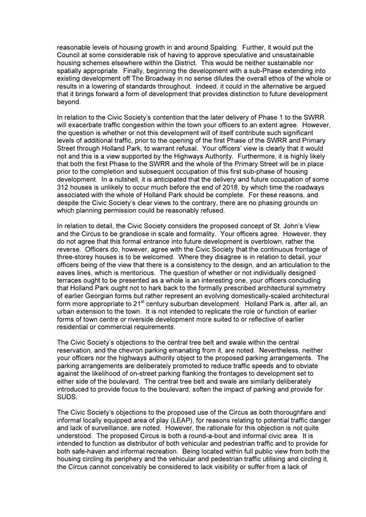reasonable levels of housing growth in and around Spalding. Further, it would put the Council at some considerable risk of having to approve speculative and unsustainable housing schemes elsewhere within the District. This would be neither sustainable nor spatially appropriate. Finally, beginning the development with a sub-Phase extending into existing development off The Broadway in no sense dilutes the overall ethos of the whole or results in a lowering of standards throughout. Indeed, it could in the alternative be argued that it brings forward a form of development that provides distinction to future development beyond.

In relation to the Civic Society's contention that the later delivery of Phase 1 to the SWRR will exacerbate traffic congestion within the town your officers to an extent agree. However, the question is whether or not this development will of itself contribute such significant levels of additional traffic, prior to the opening of the first Phase of the SWRR and Primary Street through Holland Park, to warrant refusal. Your officers' view is clearly that it would not and this is a view supported by the Highways Authority. Furthermore, it is highly likely that both the first Phase to the SWRR and the whole of the Primary Street will be in place prior to the completion and subsequent occupation of this first sub-phase of housing development. In a nutshell, it is anticipated that the delivery and future occupation of some 312 houses is unlikely to occur much before the end of 2018, by which time the roadways associated with the whole of Holland Park should be complete. For these reasons, and despite the Civic Society's clear views to the contrary, there are no phasing grounds on which planning permission could be reasonably refused.

 In relation to detail, the Civic Society considers the proposed concept of St. John's View and the Circus to be grandiose in scale and formality. Your officers agree. However, they do not agree that this formal entrance into future development is overblown, rather the reverse. Officers do, however, agree with the Civic Society that the continuous frontage of three-storey houses is to be welcomed. Where they disagree is in relation to detail, your officers being of the view that there is a consistency to the design, and an articulation to the eaves lines, which is meritorious. The question of whether or not individually designed terraces ought to be presented as a whole is an interesting one, your officers concluding that Holland Park ought not to hark back to the formally prescribed architectural symmetry of earlier Georgian forms but rather represent an evolving domestically-scaled architectural form more appropriate to  $21<sup>st</sup>$  century suburban development. Holland Park is, after all, an urban extension to the town. It is not intended to replicate the role or function of earlier forms of town centre or riverside development more suited to or reflective of earlier residential or commercial requirements.

 The Civic Society's objections to the central tree belt and swale within the central reservation, and the chevron parking emanating from it, are noted. Nevertheless, neither your officers nor the highways authority object to the proposed parking arrangements. The parking arrangements are deliberately promoted to reduce traffic speeds and to obviate against the likelihood of on-street parking flanking the frontages to development set to either side of the boulevard. The central tree belt and swale are similarly deliberately introduced to provide focus to the boulevard, soften the impact of parking and provide for SUDS.

 The Civic Society's objections to the proposed use of the Circus as both thoroughfare and informal locally equipped area of play (LEAP), for reasons relating to potential traffic danger and lack of surveillance, are noted. However, the rationale for this objection is not quite understood. The proposed Circus is both a round-a-bout and informal civic area. It is intended to function as distributor of both vehicular and pedestrian traffic and to provide for both safe-haven and informal recreation. Being located within full public view from both the housing circling its periphery and the vehicular and pedestrian traffic utilising and circling it, the Circus cannot conceivably be considered to lack visibility or suffer from a lack of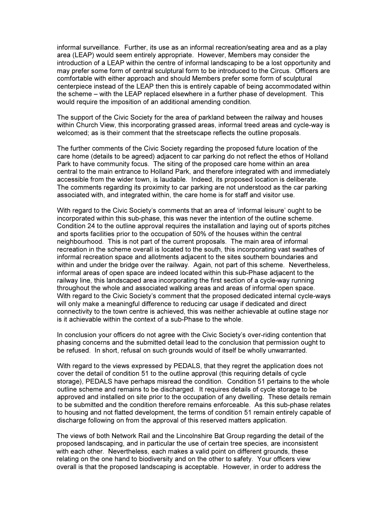informal surveillance. Further, its use as an informal recreation/seating area and as a play area (LEAP) would seem entirely appropriate. However, Members may consider the introduction of a LEAP within the centre of informal landscaping to be a lost opportunity and may prefer some form of central sculptural form to be introduced to the Circus. Officers are comfortable with either approach and should Members prefer some form of sculptural centerpiece instead of the LEAP then this is entirely capable of being accommodated within the scheme – with the LEAP replaced elsewhere in a further phase of development. This would require the imposition of an additional amending condition.

 The support of the Civic Society for the area of parkland between the railway and houses within Church View, this incorporating grassed areas, informal treed areas and cycle-way is welcomed; as is their comment that the streetscape reflects the outline proposals.

 The further comments of the Civic Society regarding the proposed future location of the care home (details to be agreed) adjacent to car parking do not reflect the ethos of Holland Park to have community focus. The siting of the proposed care home within an area central to the main entrance to Holland Park, and therefore integrated with and immediately accessible from the wider town, is laudable. Indeed, its proposed location is deliberate. The comments regarding its proximity to car parking are not understood as the car parking associated with, and integrated within, the care home is for staff and visitor use.

 With regard to the Civic Society's comments that an area of 'informal leisure' ought to be incorporated within this sub-phase, this was never the intention of the outline scheme. Condition 24 to the outline approval requires the installation and laying out of sports pitches and sports facilities prior to the occupation of 50% of the houses within the central neighbourhood. This is not part of the current proposals. The main area of informal recreation in the scheme overall is located to the south, this incorporating vast swathes of informal recreation space and allotments adjacent to the sites southern boundaries and within and under the bridge over the railway. Again, not part of this scheme. Nevertheless, informal areas of open space are indeed located within this sub-Phase adjacent to the railway line, this landscaped area incorporating the first section of a cycle-way running throughout the whole and associated walking areas and areas of informal open space. With regard to the Civic Society's comment that the proposed dedicated internal cycle-ways will only make a meaningful difference to reducing car usage if dedicated and direct connectivity to the town centre is achieved, this was neither achievable at outline stage nor is it achievable within the context of a sub-Phase to the whole.

 In conclusion your officers do not agree with the Civic Society's over-riding contention that phasing concerns and the submitted detail lead to the conclusion that permission ought to be refused. In short, refusal on such grounds would of itself be wholly unwarranted.

 With regard to the views expressed by PEDALS, that they regret the application does not cover the detail of condition 51 to the outline approval (this requiring details of cycle storage), PEDALS have perhaps misread the condition. Condition 51 pertains to the whole outline scheme and remains to be discharged. It requires details of cycle storage to be approved and installed on site prior to the occupation of any dwelling. These details remain to be submitted and the condition therefore remains enforceable. As this sub-phase relates to housing and not flatted development, the terms of condition 51 remain entirely capable of discharge following on from the approval of this reserved matters application.

 The views of both Network Rail and the Lincolnshire Bat Group regarding the detail of the proposed landscaping, and in particular the use of certain tree species, are inconsistent with each other. Nevertheless, each makes a valid point on different grounds, these relating on the one hand to biodiversity and on the other to safety. Your officers view overall is that the proposed landscaping is acceptable. However, in order to address the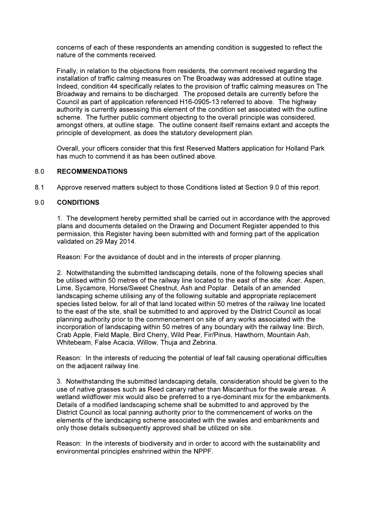concerns of each of these respondents an amending condition is suggested to reflect the nature of the comments received.

 Finally, in relation to the objections from residents, the comment received regarding the installation of traffic calming measures on The Broadway was addressed at outline stage. Indeed, condition 44 specifically relates to the provision of traffic calming measures on The Broadway and remains to be discharged. The proposed details are currently before the Council as part of application referenced H16-0905-13 referred to above. The highway authority is currently assessing this element of the condition set associated with the outline scheme. The further public comment objecting to the overall principle was considered, amongst others, at outline stage. The outline consent itself remains extant and accepts the principle of development, as does the statutory development plan.

 Overall, your officers consider that this first Reserved Matters application for Holland Park has much to commend it as has been outlined above.

## 8.0 RECOMMENDATIONS

8.1 Approve reserved matters subject to those Conditions listed at Section 9.0 of this report.

## 9.0 CONDITIONS

1. The development hereby permitted shall be carried out in accordance with the approved plans and documents detailed on the Drawing and Document Register appended to this permission, this Register having been submitted with and forming part of the application validated on 29 May 2014.

Reason: For the avoidance of doubt and in the interests of proper planning.

 2. Notwithstanding the submitted landscaping details, none of the following species shall be utilised within 50 metres of the railway line located to the east of the site: Acer, Aspen, Lime, Sycamore, Horse/Sweet Chestnut, Ash and Poplar. Details of an amended landscaping scheme utilising any of the following suitable and appropriate replacement species listed below, for all of that land located within 50 metres of the railway line located to the east of the site, shall be submitted to and approved by the District Council as local planning authority prior to the commencement on site of any works associated with the incorporation of landscaping within 50 metres of any boundary with the railway line: Birch, Crab Apple, Field Maple, Bird Cherry, Wild Pear, Fir/Pinus, Hawthorn, Mountain Ash, Whitebeam, False Acacia, Willow, Thuja and Zebrina.

Reason: In the interests of reducing the potential of leaf fall causing operational difficulties on the adjacent railway line.

3. Notwithstanding the submitted landscaping details, consideration should be given to the use of native grasses such as Reed canary rather than Miscanthus for the swale areas. A wetland wildflower mix would also be preferred to a rye-dominant mix for the embankments. Details of a modified landscaping scheme shall be submitted to and approved by the District Council as local panning authority prior to the commencement of works on the elements of the landscaping scheme associated with the swales and embankments and only those details subsequently approved shall be utilized on site.

Reason: In the interests of biodiversity and in order to accord with the sustainability and environmental principles enshrined within the NPPF.